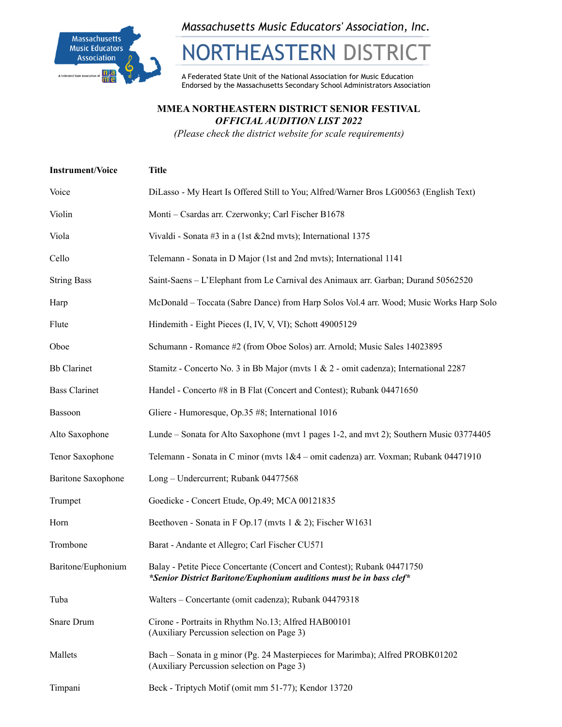

*Massachusetts Music Educators' Association, Inc.*

# NORTHEASTERN DISTRICT

A Federated State Unit of the National Association for Music Education Endorsed by the Massachusetts Secondary School Administrators Association

#### **MMEA NORTHEASTERN DISTRICT SENIOR FESTIVAL** *OFFICIAL AUDITION LIST 2022*

*(Please check the district website for scale requirements)*

| <b>Instrument/Voice</b>   | <b>Title</b>                                                                                                                                   |
|---------------------------|------------------------------------------------------------------------------------------------------------------------------------------------|
| Voice                     | DiLasso - My Heart Is Offered Still to You; Alfred/Warner Bros LG00563 (English Text)                                                          |
| Violin                    | Monti - Csardas arr. Czerwonky; Carl Fischer B1678                                                                                             |
| Viola                     | Vivaldi - Sonata #3 in a (1st $&2$ nd mvts); International 1375                                                                                |
| Cello                     | Telemann - Sonata in D Major (1st and 2nd myts); International 1141                                                                            |
| <b>String Bass</b>        | Saint-Saens - L'Elephant from Le Carnival des Animaux arr. Garban; Durand 50562520                                                             |
| Harp                      | McDonald – Toccata (Sabre Dance) from Harp Solos Vol.4 arr. Wood; Music Works Harp Solo                                                        |
| Flute                     | Hindemith - Eight Pieces (I, IV, V, VI); Schott 49005129                                                                                       |
| Oboe                      | Schumann - Romance #2 (from Oboe Solos) arr. Arnold; Music Sales 14023895                                                                      |
| <b>Bb</b> Clarinet        | Stamitz - Concerto No. 3 in Bb Major (mvts 1 & 2 - omit cadenza); International 2287                                                           |
| <b>Bass Clarinet</b>      | Handel - Concerto #8 in B Flat (Concert and Contest); Rubank 04471650                                                                          |
| Bassoon                   | Gliere - Humoresque, Op.35 #8; International 1016                                                                                              |
| Alto Saxophone            | Lunde – Sonata for Alto Saxophone (mvt 1 pages 1-2, and mvt 2); Southern Music 03774405                                                        |
| Tenor Saxophone           | Telemann - Sonata in C minor (mvts 1&4 - omit cadenza) arr. Voxman; Rubank 04471910                                                            |
| <b>Baritone Saxophone</b> | Long – Undercurrent; Rubank 04477568                                                                                                           |
| Trumpet                   | Goedicke - Concert Etude, Op.49; MCA 00121835                                                                                                  |
| Horn                      | Beethoven - Sonata in F Op.17 (mvts 1 & 2); Fischer W1631                                                                                      |
| Trombone                  | Barat - Andante et Allegro; Carl Fischer CU571                                                                                                 |
| Baritone/Euphonium        | Balay - Petite Piece Concertante (Concert and Contest); Rubank 04471750<br>*Senior District Baritone/Euphonium auditions must be in bass clef* |
| Tuba                      | Walters - Concertante (omit cadenza); Rubank 04479318                                                                                          |
| Snare Drum                | Cirone - Portraits in Rhythm No.13; Alfred HAB00101<br>(Auxiliary Percussion selection on Page 3)                                              |
| Mallets                   | Bach – Sonata in g minor (Pg. 24 Masterpieces for Marimba); Alfred PROBK01202<br>(Auxiliary Percussion selection on Page 3)                    |
| Timpani                   | Beck - Triptych Motif (omit mm 51-77); Kendor 13720                                                                                            |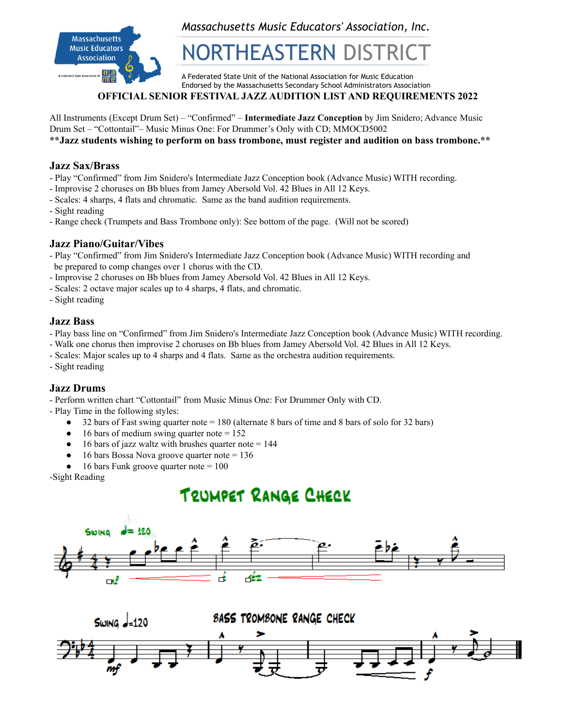

*Massachusetts Music Educators' Association, Inc.*

## NORTHEASTERN DIS

A Federated State Unit of the National Association for Music Education Endorsed by the Massachusetts Secondary School Administrators Association

#### **OFFICIAL SENIOR FESTIVAL JAZZ AUDITION LIST AND REQUIREMENTS 2022**

All Instruments (Except Drum Set) – "Confirmed" – **Intermediate Jazz Conception** by Jim Snidero; Advance Music Drum Set – "Cottontail"– Music Minus One: For Drummer's Only with CD; MMOCD5002 **\*\*Jazz students wishing to perform on bass trombone, must register and audition on bass trombone.\*\***

#### **Jazz Sax/Brass**

- Play "Confirmed" from Jim Snidero's Intermediate Jazz Conception book (Advance Music) WITH recording.
- Improvise 2 choruses on Bb blues from Jamey Abersold Vol. 42 Blues in All 12 Keys.
- Scales: 4 sharps, 4 flats and chromatic. Same as the band audition requirements.
- Sight reading
- Range check (Trumpets and Bass Trombone only): See bottom of the page. (Will not be scored)

#### **Jazz Piano/Guitar/Vibes**

- Play "Confirmed" from Jim Snidero's Intermediate Jazz Conception book (Advance Music) WITH recording and be prepared to comp changes over 1 chorus with the CD.
- Improvise 2 choruses on Bb blues from Jamey Abersold Vol. 42 Blues in All 12 Keys.
- Scales: 2 octave major scales up to 4 sharps, 4 flats, and chromatic.
- Sight reading

#### **Jazz Bass**

- Play bass line on "Confirmed" from Jim Snidero's Intermediate Jazz Conception book (Advance Music) WITH recording.
- Walk one chorus then improvise 2 choruses on Bb blues from Jamey Abersold Vol. 42 Blues in All 12 Keys.
- Scales: Major scales up to 4 sharps and 4 flats. Same as the orchestra audition requirements.
- Sight reading

#### **Jazz Drums**

- Perform written chart "Cottontail" from Music Minus One: For Drummer Only with CD.

- Play Time in the following styles:

- 32 bars of Fast swing quarter note = 180 (alternate 8 bars of time and 8 bars of solo for 32 bars)
- 16 bars of medium swing quarter note  $= 152$
- $\bullet$  16 bars of jazz waltz with brushes quarter note = 144
- 16 bars Bossa Nova groove quarter note = 136
- $\bullet$  16 bars Funk groove quarter note = 100

-Sight Reading

### TRUMPET RANGE CHECK